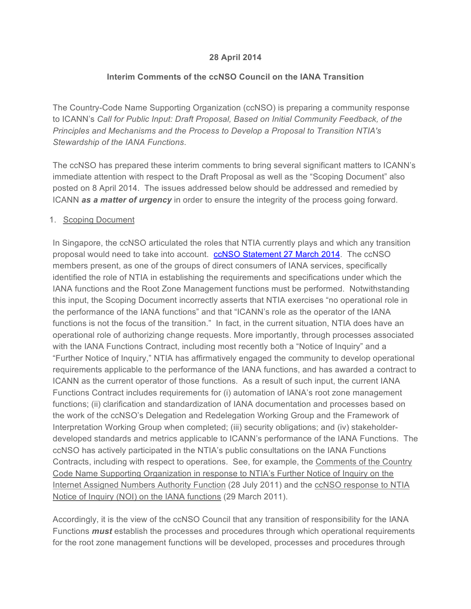## **28 April 2014**

## **Interim Comments of the ccNSO Council on the IANA Transition**

The Country-Code Name Supporting Organization (ccNSO) is preparing a community response to ICANN's *Call for Public Input: Draft Proposal, Based on Initial Community Feedback, of the Principles and Mechanisms and the Process to Develop a Proposal to Transition NTIA's Stewardship of the IANA Functions*.

The ccNSO has prepared these interim comments to bring several significant matters to ICANN's immediate attention with respect to the Draft Proposal as well as the "Scoping Document" also posted on 8 April 2014. The issues addressed below should be addressed and remedied by ICANN *as a matter of urgency* in order to ensure the integrity of the process going forward.

#### 1. Scoping Document

In Singapore, the ccNSO articulated the roles that NTIA currently plays and which any transition proposal would need to take into account. ccNSO Statement 27 March 2014. The ccNSO members present, as one of the groups of direct consumers of IANA services, specifically identified the role of NTIA in establishing the requirements and specifications under which the IANA functions and the Root Zone Management functions must be performed. Notwithstanding this input, the Scoping Document incorrectly asserts that NTIA exercises "no operational role in the performance of the IANA functions" and that "ICANN's role as the operator of the IANA functions is not the focus of the transition." In fact, in the current situation, NTIA does have an operational role of authorizing change requests. More importantly, through processes associated with the IANA Functions Contract, including most recently both a "Notice of Inquiry" and a "Further Notice of Inquiry," NTIA has affirmatively engaged the community to develop operational requirements applicable to the performance of the IANA functions, and has awarded a contract to ICANN as the current operator of those functions. As a result of such input, the current IANA Functions Contract includes requirements for (i) automation of IANA's root zone management functions; (ii) clarification and standardization of IANA documentation and processes based on the work of the ccNSO's Delegation and Redelegation Working Group and the Framework of Interpretation Working Group when completed; (iii) security obligations; and (iv) stakeholderdeveloped standards and metrics applicable to ICANN's performance of the IANA Functions. The ccNSO has actively participated in the NTIA's public consultations on the IANA Functions Contracts, including with respect to operations. See, for example, the Comments of the Country Code Name Supporting Organization in response to NTIA's Further Notice of Inquiry on the Internet Assigned Numbers Authority Function (28 July 2011) and the ccNSO response to NTIA Notice of Inquiry (NOI) on the IANA functions (29 March 2011).

Accordingly, it is the view of the ccNSO Council that any transition of responsibility for the IANA Functions *must* establish the processes and procedures through which operational requirements for the root zone management functions will be developed, processes and procedures through